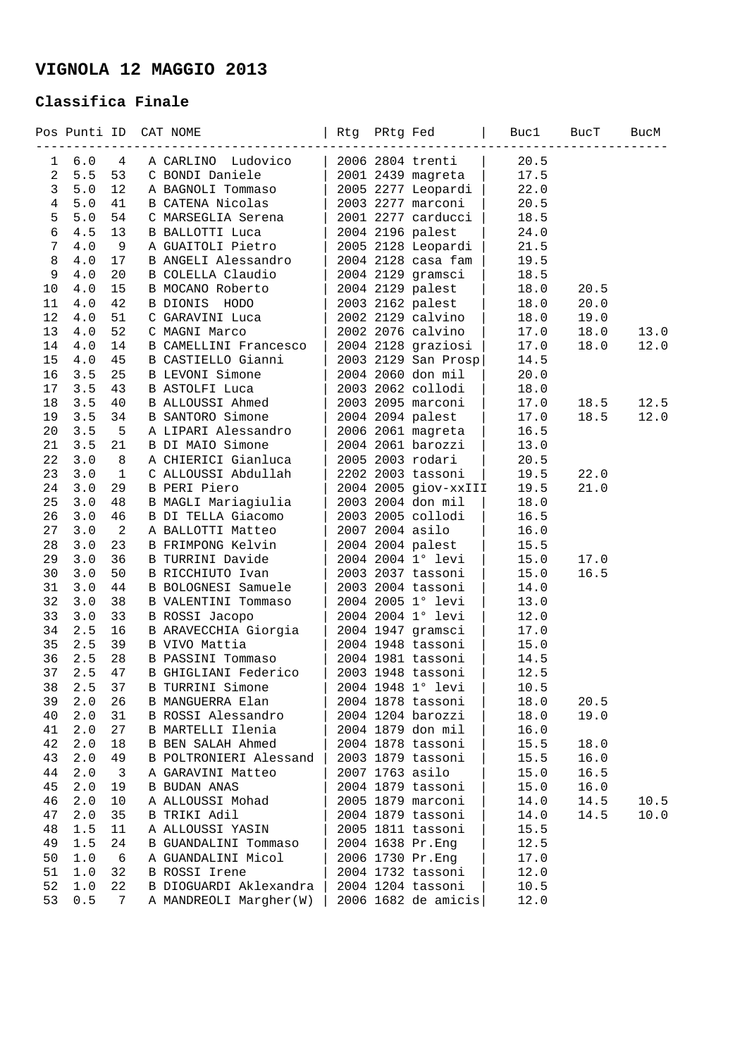## **VIGNOLA 12 MAGGIO 2013**

## **Classifica Finale**

|                | Pos Punti ID |                | CAT NOME                                       | Rtg PRtg Fed |                                        | Buc1         | BucT         | BucM |
|----------------|--------------|----------------|------------------------------------------------|--------------|----------------------------------------|--------------|--------------|------|
| 1              | 6.0          | 4              | A CARLINO Ludovico                             |              | 2006 2804 trenti                       | 20.5         |              |      |
| $\overline{a}$ | 5.5          | 53             | C BONDI Daniele                                |              | 2001 2439 magreta                      | 17.5         |              |      |
| 3              | 5.0          | 12             | A BAGNOLI Tommaso                              |              | 2005 2277 Leopardi                     | 22.0         |              |      |
| $\overline{4}$ | 5.0          | 41             | B CATENA Nicolas                               |              | 2003 2277 marconi                      | 20.5         |              |      |
| 5              | 5.0          | 54             | C MARSEGLIA Serena                             |              | 2001 2277 carducci                     | 18.5         |              |      |
| $6\phantom{a}$ | 4.5          | 13             | B BALLOTTI Luca                                |              | 2004 2196 palest                       | 24.0         |              |      |
| 7              | 4.0          | -9             | A GUAITOLI Pietro                              |              | 2005 2128 Leopardi                     | 21.5         |              |      |
| 8              | 4.0          | 17             | B ANGELI Alessandro                            |              | 2004 2128 casa fam                     | 19.5         |              |      |
| 9              | 4.0          | 20             | B COLELLA Claudio                              |              | 2004 2129 gramsci                      | 18.5         |              |      |
| 10             | 4.0          | 15             | B MOCANO Roberto                               |              | 2004 2129 palest                       | 18.0         | 20.5         |      |
| 11             | 4.0          | 42             | B DIONIS HODO                                  |              | 2003 2162 palest                       | 18.0         | 20.0         |      |
| 12             | 4.0          | 51             | C GARAVINI Luca                                |              | 2002 2129 calvino                      | 18.0         | 19.0         |      |
| 13             | 4.0          | 52             | C MAGNI Marco                                  |              | 2002 2076 calvino                      | 17.0         | 18.0         | 13.0 |
| 14             | 4.0          | 14             | B CAMELLINI Francesco                          |              | 2004 2128 graziosi                     | 17.0         | 18.0         | 12.0 |
| 15             | 4.0          | 45             | B CASTIELLO Gianni                             |              | 2003 2129 San Prosp                    | 14.5         |              |      |
| 16             | 3.5          | 25             | B LEVONI Simone                                |              | 2004 2060 don mil                      | 20.0         |              |      |
| 17             | 3.5          | 43             | <b>B ASTOLFI Luca</b>                          |              | 2003 2062 collodi                      | 18.0         |              |      |
| 18             | 3.5          | 40             | B ALLOUSSI Ahmed                               |              | 2003 2095 marconi                      | 17.0         | 18.5         | 12.5 |
| 19             | 3.5          | 34             | <b>B SANTORO Simone</b>                        |              | 2004 2094 palest                       | 17.0         | 18.5         | 12.0 |
| 20             | 3.5          | - 5            | A LIPARI Alessandro<br><b>B DI MAIO Simone</b> |              | 2006 2061 magreta<br>2004 2061 barozzi | 16.5         |              |      |
| 21<br>22       | 3.5<br>3.0   | 21<br>8        | A CHIERICI Gianluca                            |              | 2005 2003 rodari                       | 13.0<br>20.5 |              |      |
| 23             | 3.0          | 1              | C ALLOUSSI Abdullah                            |              | 2202 2003 tassoni                      | 19.5         |              |      |
| 24             | 3.0          | 29             | B PERI Piero                                   |              | 2004 2005 giov-xxIII                   | 19.5         | 22.0<br>21.0 |      |
| 25             | 3.0          | 48             | B MAGLI Mariagiulia                            |              | 2003 2004 don mil                      | 18.0         |              |      |
| 26             | 3.0          | 46             | B DI TELLA Giacomo                             |              | 2003 2005 collodi                      | 16.5         |              |      |
| 27             | 3.0          | $\overline{a}$ | A BALLOTTI Matteo                              |              | 2007 2004 asilo                        | 16.0         |              |      |
| 28             | 3.0          | 23             | B FRIMPONG Kelvin                              |              | 2004 2004 palest                       | 15.5         |              |      |
| 29             | 3.0          | 36             | B TURRINI Davide                               |              | 2004 2004 1° levi                      | 15.0         | 17.0         |      |
| 30             | 3.0          | 50             | B RICCHIUTO Ivan                               |              | 2003 2037 tassoni                      | 15.0         | 16.5         |      |
| 31             | 3.0          | 44             | B BOLOGNESI Samuele                            |              | 2003 2004 tassoni                      | 14.0         |              |      |
| 32             | 3.0          | 38             | <b>B VALENTINI Tommaso</b>                     |              | 2004 2005 1° levi                      | 13.0         |              |      |
| 33             | 3.0          | 33             | B ROSSI Jacopo                                 |              | 2004 2004 1° levi                      | 12.0         |              |      |
| 34             | 2.5          | 16             | B ARAVECCHIA Giorgia                           |              | 2004 1947 gramsci                      | 17.0         |              |      |
| 35             | 2.5          | 39             | B VIVO Mattia                                  |              | 2004 1948 tassoni                      | 15.0         |              |      |
| 36             | 2.5          | 28             | <b>B PASSINI Tommaso</b>                       |              | 2004 1981 tassoni                      | 14.5         |              |      |
| 37             | 2.5          | 47             | B GHIGLIANI Federico                           |              | 2003 1948 tassoni                      | 12.5         |              |      |
| 38             | $2.5$ 37     |                | B TURRINI Simone                               |              | 2004 1948 1° levi                      | 10.5         |              |      |
| 39             | 2.0          | 26             | B MANGUERRA Elan                               |              | 2004 1878 tassoni                      | 18.0         | 20.5         |      |
| 40             | 2.0          | 31             | B ROSSI Alessandro                             |              | 2004 1204 barozzi                      | 18.0         | 19.0         |      |
| 41             | 2.0          | 27             | B MARTELLI Ilenia                              |              | 2004 1879 don mil                      | 16.0         |              |      |
| 42             | 2.0          | 18             | B BEN SALAH Ahmed                              |              | 2004 1878 tassoni                      | 15.5         | 18.0         |      |
| 43             | 2.0          | 49             | B POLTRONIERI Alessand                         |              | 2003 1879 tassoni                      | 15.5         | 16.0         |      |
| 44             | 2.0          | 3              | A GARAVINI Matteo                              |              | 2007 1763 asilo                        | 15.0         | 16.5         |      |
| 45             | 2.0          | 19             | <b>B BUDAN ANAS</b>                            |              | 2004 1879 tassoni                      | 15.0         | 16.0         |      |
| 46             | 2.0          | 10             | A ALLOUSSI Mohad                               |              | 2005 1879 marconi                      | 14.0         | 14.5         | 10.5 |
| 47             | 2.0          | 35             | B TRIKI Adil                                   |              | 2004 1879 tassoni                      | 14.0         | 14.5         | 10.0 |
| 48             | 1.5          | 11             | A ALLOUSSI YASIN                               |              | 2005 1811 tassoni                      | 15.5         |              |      |
| 49             | 1.5          | 24             | <b>B GUANDALINI Tommaso</b>                    |              | 2004 1638 Pr.Eng                       | 12.5         |              |      |
| 50             | 1.0          | 6              | A GUANDALINI Micol                             |              | 2006 1730 Pr.Eng                       | 17.0         |              |      |
| 51             | 1.0          | 32             | B ROSSI Irene                                  |              | 2004 1732 tassoni                      | 12.0         |              |      |
| 52             | 1.0          | 22             | B DIOGUARDI Aklexandra                         |              | 2004 1204 tassoni                      | 10.5         |              |      |
| 53             | 0.5          | 7              | A MANDREOLI Margher(W)                         |              | 2006 1682 de amicis                    | 12.0         |              |      |